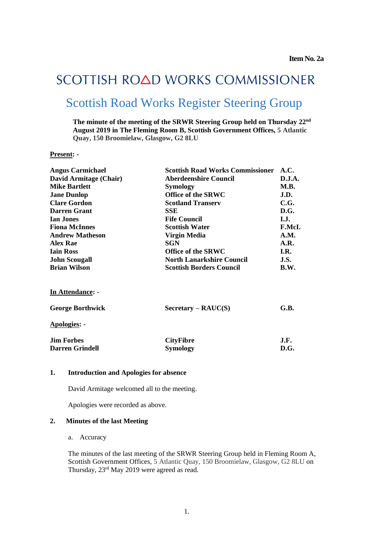# SCOTTISH ROAD WORKS COMMISSIONER Scottish Road Works Register Steering Group

**The minute of the meeting of the SRWR Steering Group held on Thursday 22nd August 2019 in The Fleming Room B, Scottish Government Offices, 5 Atlantic Quay, 150 Broomielaw, Glasgow, G2 8LU**

#### **Present: -**

| <b>Angus Carmichael</b> | <b>Scottish Road Works Commissioner</b>     | A.C.   |
|-------------------------|---------------------------------------------|--------|
| David Armitage (Chair)  | <b>Aberdeenshire Council</b>                | D.J.A. |
| <b>Mike Bartlett</b>    | <b>Symology</b>                             | M.B.   |
| <b>Jane Dunlop</b>      | <b>Office of the SRWC</b>                   | J.D.   |
| <b>Clare Gordon</b>     | <b>Scotland Transerv</b>                    | C.G.   |
| <b>Darren Grant</b>     | SSE                                         | D.G.   |
| <b>Ian Jones</b>        | <b>Fife Council</b>                         | I.J.   |
| <b>Fiona McInnes</b>    | <b>Scottish Water</b>                       | F.McI. |
| <b>Andrew Matheson</b>  | Virgin Media                                | A.M.   |
| <b>Alex Rae</b>         | <b>SGN</b>                                  | A.R.   |
| <b>Iain Ross</b>        | <b>Office of the SRWC</b>                   | I.R.   |
| <b>John Scougall</b>    | <b>North Lanarkshire Council</b>            | J.S.   |
| <b>Brian Wilson</b>     | <b>Scottish Borders Council</b>             | B.W.   |
| <b>In Attendance: -</b> |                                             |        |
| <b>George Borthwick</b> | $S \text{ecc} \text{rary} - \text{RAUC}(S)$ | G.B.   |
| Apologies: -            |                                             |        |
| <b>Jim Forbes</b>       | <b>CityFibre</b>                            | J.F.   |
| <b>Darren Grindell</b>  | <b>Symology</b>                             | D.G.   |
|                         |                                             |        |

### **1. Introduction and Apologies for absence**

David Armitage welcomed all to the meeting.

Apologies were recorded as above.

## **2. Minutes of the last Meeting**

### a. Accuracy

The minutes of the last meeting of the SRWR Steering Group held in Fleming Room A, Scottish Government Offices, 5 Atlantic Quay, 150 Broomielaw, Glasgow, G2 8LU on Thursday, 23<sup>rd</sup> May 2019 were agreed as read.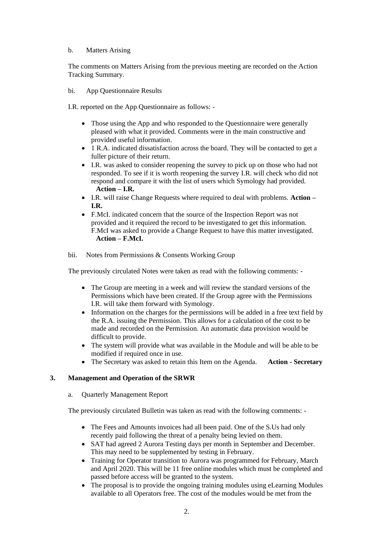## b. Matters Arising

The comments on Matters Arising from the previous meeting are recorded on the Action Tracking Summary.

bi. App Questionnaire Results

I.R. reported on the App Questionnaire as follows: -

- Those using the App and who responded to the Questionnaire were generally pleased with what it provided. Comments were in the main constructive and provided useful information.
- 1 R.A. indicated dissatisfaction across the board. They will be contacted to get a fuller picture of their return.
- I.R. was asked to consider reopening the survey to pick up on those who had not responded. To see if it is worth reopening the survey I.R. will check who did not respond and compare it with the list of users which Symology had provided. **Action – I.R.**
- I.R. will raise Change Requests where required to deal with problems. **Action – I.R.**
- F.McI. indicated concern that the source of the Inspection Report was not provided and it required the record to be investigated to get this information. F.McI was asked to provide a Change Request to have this matter investigated. **Action – F.McI.**
- bii. Notes from Permissions & Consents Working Group

The previously circulated Notes were taken as read with the following comments: -

- The Group are meeting in a week and will review the standard versions of the Permissions which have been created. If the Group agree with the Permissions I.R. will take them forward with Symology.
- Information on the charges for the permissions will be added in a free text field by the R.A. issuing the Permission. This allows for a calculation of the cost to be made and recorded on the Permission. An automatic data provision would be difficult to provide.
- The system will provide what was available in the Module and will be able to be modified if required once in use.
- The Secretary was asked to retain this Item on the Agenda. **Action - Secretary**

## **3. Management and Operation of the SRWR**

a. Quarterly Management Report

The previously circulated Bulletin was taken as read with the following comments: -

- The Fees and Amounts invoices had all been paid. One of the S.Us had only recently paid following the threat of a penalty being levied on them.
- SAT had agreed 2 Aurora Testing days per month in September and December. This may need to be supplemented by testing in February.
- Training for Operator transition to Aurora was programmed for February, March and April 2020. This will be 11 free online modules which must be completed and passed before access will be granted to the system.
- The proposal is to provide the ongoing training modules using eLearning Modules available to all Operators free. The cost of the modules would be met from the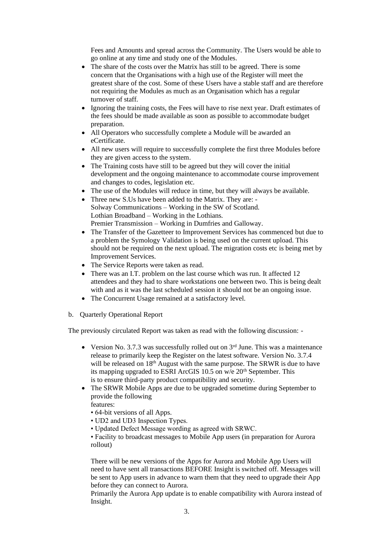Fees and Amounts and spread across the Community. The Users would be able to go online at any time and study one of the Modules.

- The share of the costs over the Matrix has still to be agreed. There is some concern that the Organisations with a high use of the Register will meet the greatest share of the cost. Some of these Users have a stable staff and are therefore not requiring the Modules as much as an Organisation which has a regular turnover of staff.
- Ignoring the training costs, the Fees will have to rise next year. Draft estimates of the fees should be made available as soon as possible to accommodate budget preparation.
- All Operators who successfully complete a Module will be awarded an eCertificate.
- All new users will require to successfully complete the first three Modules before they are given access to the system.
- The Training costs have still to be agreed but they will cover the initial development and the ongoing maintenance to accommodate course improvement and changes to codes, legislation etc.
- The use of the Modules will reduce in time, but they will always be available.
- Three new S.Us have been added to the Matrix. They are: Solway Communications – Working in the SW of Scotland. Lothian Broadband – Working in the Lothians. Premier Transmission – Working in Dumfries and Galloway.
- The Transfer of the Gazetteer to Improvement Services has commenced but due to a problem the Symology Validation is being used on the current upload. This should not be required on the next upload. The migration costs etc is being met by Improvement Services.
- The Service Reports were taken as read.
- There was an I.T. problem on the last course which was run. It affected 12 attendees and they had to share workstations one between two. This is being dealt with and as it was the last scheduled session it should not be an ongoing issue.
- The Concurrent Usage remained at a satisfactory level.
- b. Quarterly Operational Report

The previously circulated Report was taken as read with the following discussion: -

- Version No. 3.7.3 was successfully rolled out on  $3<sup>rd</sup>$  June. This was a maintenance release to primarily keep the Register on the latest software. Version No. 3.7.4 will be released on 18<sup>th</sup> August with the same purpose. The SRWR is due to have its mapping upgraded to ESRI ArcGIS 10.5 on w/e 20<sup>th</sup> September. This is to ensure third-party product compatibility and security.
- The SRWR Mobile Apps are due to be upgraded sometime during September to provide the following
	- features:
	- 64-bit versions of all Apps.
	- UD2 and UD3 Inspection Types.
	- Updated Defect Message wording as agreed with SRWC.
	- Facility to broadcast messages to Mobile App users (in preparation for Aurora rollout)

There will be new versions of the Apps for Aurora and Mobile App Users will need to have sent all transactions BEFORE Insight is switched off. Messages will be sent to App users in advance to warn them that they need to upgrade their App before they can connect to Aurora.

Primarily the Aurora App update is to enable compatibility with Aurora instead of Insight.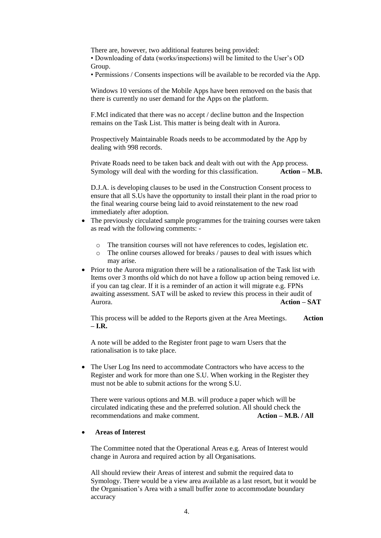There are, however, two additional features being provided:

• Downloading of data (works/inspections) will be limited to the User's OD Group.

• Permissions / Consents inspections will be available to be recorded via the App.

Windows 10 versions of the Mobile Apps have been removed on the basis that there is currently no user demand for the Apps on the platform.

F.McI indicated that there was no accept / decline button and the Inspection remains on the Task List. This matter is being dealt with in Aurora.

Prospectively Maintainable Roads needs to be accommodated by the App by dealing with 998 records.

Private Roads need to be taken back and dealt with out with the App process. Symology will deal with the wording for this classification. **Action – M.B.**

D.J.A. is developing clauses to be used in the Construction Consent process to ensure that all S.Us have the opportunity to install their plant in the road prior to the final wearing course being laid to avoid reinstatement to the new road immediately after adoption.

- The previously circulated sample programmes for the training courses were taken as read with the following comments:
	- o The transition courses will not have references to codes, legislation etc.
	- o The online courses allowed for breaks / pauses to deal with issues which may arise.
- Prior to the Aurora migration there will be a rationalisation of the Task list with Items over 3 months old which do not have a follow up action being removed i.e. if you can tag clear. If it is a reminder of an action it will migrate e.g. FPNs awaiting assessment. SAT will be asked to review this process in their audit of Aurora. **Action – SAT**

This process will be added to the Reports given at the Area Meetings. **Action – I.R.**

A note will be added to the Register front page to warn Users that the rationalisation is to take place.

• The User Log Ins need to accommodate Contractors who have access to the Register and work for more than one S.U. When working in the Register they must not be able to submit actions for the wrong S.U.

There were various options and M.B. will produce a paper which will be circulated indicating these and the preferred solution. All should check the recommendations and make comment. **Action – M.B. / All**

#### • **Areas of Interest**

The Committee noted that the Operational Areas e.g. Areas of Interest would change in Aurora and required action by all Organisations.

All should review their Areas of interest and submit the required data to Symology. There would be a view area available as a last resort, but it would be the Organisation's Area with a small buffer zone to accommodate boundary accuracy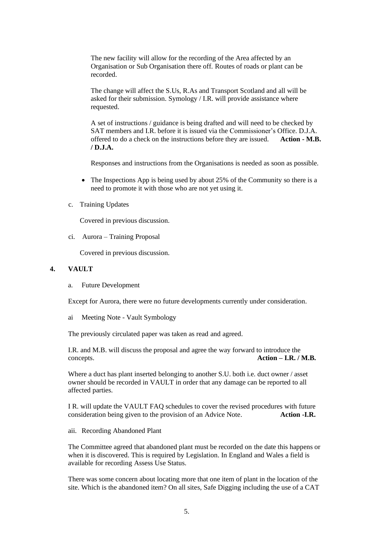The new facility will allow for the recording of the Area affected by an Organisation or Sub Organisation there off. Routes of roads or plant can be recorded.

The change will affect the S.Us, R.As and Transport Scotland and all will be asked for their submission. Symology / I.R. will provide assistance where requested.

A set of instructions / guidance is being drafted and will need to be checked by SAT members and I.R. before it is issued via the Commissioner's Office. D.J.A. offered to do a check on the instructions before they are issued. **Action - M.B. / D.J.A.**

Responses and instructions from the Organisations is needed as soon as possible.

- The Inspections App is being used by about 25% of the Community so there is a need to promote it with those who are not yet using it.
- c. Training Updates

Covered in previous discussion.

ci. Aurora – Training Proposal

Covered in previous discussion.

## **4. VAULT**

a. Future Development

Except for Aurora, there were no future developments currently under consideration.

ai Meeting Note - Vault Symbology

The previously circulated paper was taken as read and agreed.

I.R. and M.B. will discuss the proposal and agree the way forward to introduce the concepts. **Action – I.R. / M.B.**

Where a duct has plant inserted belonging to another S.U. both i.e. duct owner / asset owner should be recorded in VAULT in order that any damage can be reported to all affected parties.

I R. will update the VAULT FAQ schedules to cover the revised procedures with future consideration being given to the provision of an Advice Note. **Action -I.R.**

aii. Recording Abandoned Plant

The Committee agreed that abandoned plant must be recorded on the date this happens or when it is discovered. This is required by Legislation. In England and Wales a field is available for recording Assess Use Status.

There was some concern about locating more that one item of plant in the location of the site. Which is the abandoned item? On all sites, Safe Digging including the use of a CAT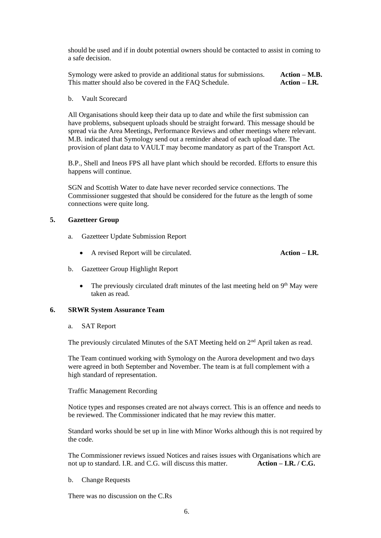should be used and if in doubt potential owners should be contacted to assist in coming to a safe decision.

Symology were asked to provide an additional status for submissions. **Action – M.B.** This matter should also be covered in the FAQ Schedule. **Action – I.R.** 

b. Vault Scorecard

All Organisations should keep their data up to date and while the first submission can have problems, subsequent uploads should be straight forward. This message should be spread via the Area Meetings, Performance Reviews and other meetings where relevant. M.B. indicated that Symology send out a reminder ahead of each upload date. The provision of plant data to VAULT may become mandatory as part of the Transport Act.

B.P., Shell and Ineos FPS all have plant which should be recorded. Efforts to ensure this happens will continue.

SGN and Scottish Water to date have never recorded service connections. The Commissioner suggested that should be considered for the future as the length of some connections were quite long.

### **5. Gazetteer Group**

- a. Gazetteer Update Submission Report
	- A revised Report will be circulated. **Action – I.R.**
- b. Gazetteer Group Highlight Report
	- The previously circulated draft minutes of the last meeting held on  $9<sup>th</sup>$  May were taken as read.

#### **6. SRWR System Assurance Team**

a. SAT Report

The previously circulated Minutes of the SAT Meeting held on  $2<sup>nd</sup>$  April taken as read.

The Team continued working with Symology on the Aurora development and two days were agreed in both September and November. The team is at full complement with a high standard of representation.

Traffic Management Recording

Notice types and responses created are not always correct. This is an offence and needs to be reviewed. The Commissioner indicated that he may review this matter.

Standard works should be set up in line with Minor Works although this is not required by the code.

The Commissioner reviews issued Notices and raises issues with Organisations which are not up to standard. I.R. and C.G. will discuss this matter. **Action – I.R. / C.G.**

b. Change Requests

There was no discussion on the C.Rs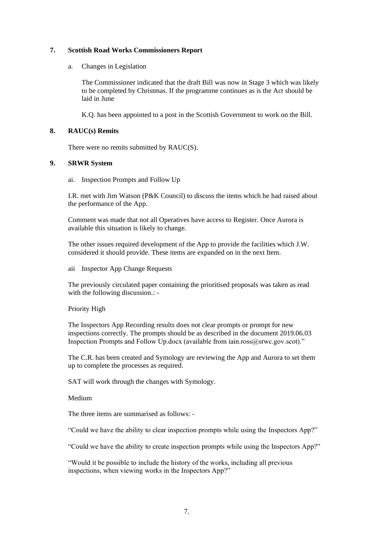## **7. Scottish Road Works Commissioners Report**

a. Changes in Legislation

The Commissioner indicated that the draft Bill was now in Stage 3 which was likely to be completed by Christmas. If the programme continues as is the Act should be laid in June

K.Q. has been appointed to a post in the Scottish Government to work on the Bill.

## **8. RAUC(s) Remits**

There were no remits submitted by RAUC(S).

# **9. SRWR System**

ai. Inspection Prompts and Follow Up

I.R. met with Jim Watson (P&K Council) to discuss the items which he had raised about the performance of the App.

Comment was made that not all Operatives have access to Register. Once Aurora is available this situation is likely to change.

The other issues required development of the App to provide the facilities which J.W. considered it should provide. These items are expanded on in the next Item.

aii Inspector App Change Requests

The previously circulated paper containing the prioritised proposals was taken as read with the following discussion.: -

Priority High

The Inspectors App Recording results does not clear prompts or prompt for new inspections correctly. The prompts should be as described in the document 2019.06.03 Inspection Prompts and Follow Up.docx (available from iain.ross@srwc.gov.scot)."

The C.R. has been created and Symology are reviewing the App and Aurora to set them up to complete the processes as required.

SAT will work through the changes with Symology.

Medium

The three items are summarised as follows: -

"Could we have the ability to clear inspection prompts while using the Inspectors App?"

"Could we have the ability to create inspection prompts while using the Inspectors App?"

"Would it be possible to include the history of the works, including all previous inspections, when viewing works in the Inspectors App?"